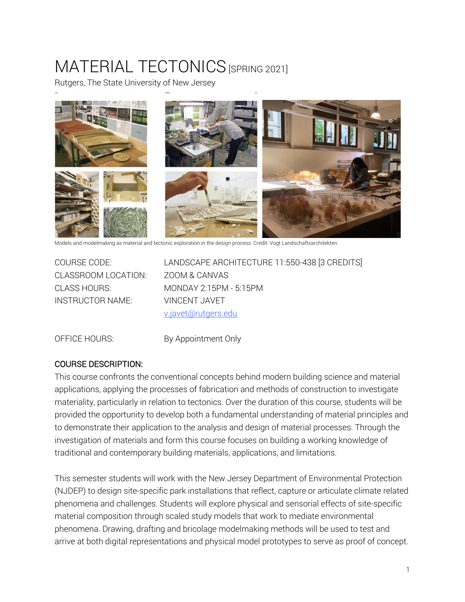# MATERIAL TECTONICS [SPRING 2021]

Rutgers, The State University of New Jersey



Models and modelmaking as material and tectonic exploration in the design process. Credit: Vogt Landschaftsarchitekten.

CLASSROOM LOCATION: ZOOM & CANVAS INSTRUCTOR NAME: VINCENT JAVET

COURSE CODE: LANDSCAPE ARCHITECTURE 11:550-438 [3 CREDITS] CLASS HOURS: MONDAY 2:15PM - 5:15PM v.javet@rutgers.edu

OFFICE HOURS: By Appointment Only

## COURSE DESCRIPTION:

This course confronts the conventional concepts behind modern building science and material applications, applying the processes of fabrication and methods of construction to investigate materiality, particularly in relation to tectonics. Over the duration of this course, students will be provided the opportunity to develop both a fundamental understanding of material principles and to demonstrate their application to the analysis and design of material processes. Through the investigation of materials and form this course focuses on building a working knowledge of traditional and contemporary building materials, applications, and limitations.

This semester students will work with the New Jersey Department of Environmental Protection (NJDEP) to design site-specific park installations that reflect, capture or articulate climate related phenomena and challenges. Students will explore physical and sensorial effects of site-specific material composition through scaled study models that work to mediate environmental phenomena. Drawing, drafting and bricolage modelmaking methods will be used to test and arrive at both digital representations and physical model prototypes to serve as proof of concept.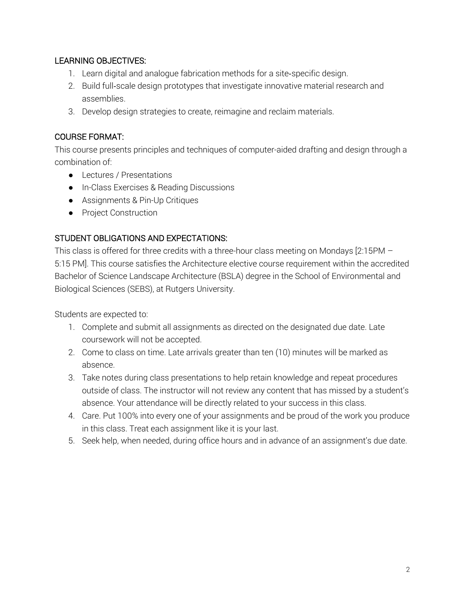## LEARNING OBJECTIVES:

- 1. Learn digital and analogue fabrication methods for a site-specific design.
- 2. Build full-scale design prototypes that investigate innovative material research and assemblies.
- 3. Develop design strategies to create, reimagine and reclaim materials.

## COURSE FORMAT:

This course presents principles and techniques of computer-aided drafting and design through a combination of:

- Lectures / Presentations
- In-Class Exercises & Reading Discussions
- Assignments & Pin-Up Critiques
- Project Construction

## STUDENT OBLIGATIONS AND EXPECTATIONS:

This class is offered for three credits with a three-hour class meeting on Mondays [2:15PM – 5:15 PM]. This course satisfies the Architecture elective course requirement within the accredited Bachelor of Science Landscape Architecture (BSLA) degree in the School of Environmental and Biological Sciences (SEBS), at Rutgers University.

Students are expected to:

- 1. Complete and submit all assignments as directed on the designated due date. Late coursework will not be accepted.
- 2. Come to class on time. Late arrivals greater than ten (10) minutes will be marked as absence.
- 3. Take notes during class presentations to help retain knowledge and repeat procedures outside of class. The instructor will not review any content that has missed by a student's absence. Your attendance will be directly related to your success in this class.
- 4. Care. Put 100% into every one of your assignments and be proud of the work you produce in this class. Treat each assignment like it is your last.
- 5. Seek help, when needed, during office hours and in advance of an assignment's due date.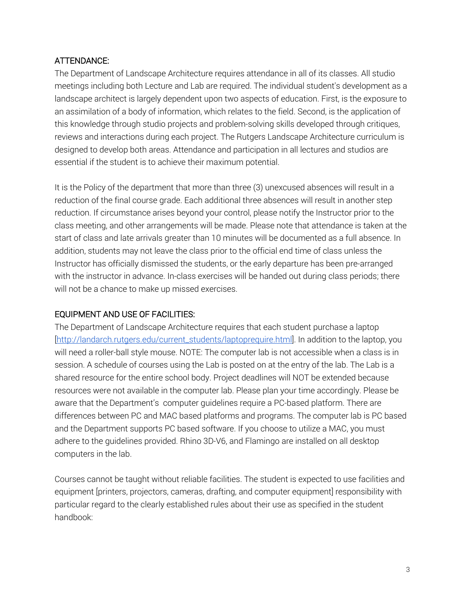## ATTENDANCE:

The Department of Landscape Architecture requires attendance in all of its classes. All studio meetings including both Lecture and Lab are required. The individual student's development as a landscape architect is largely dependent upon two aspects of education. First, is the exposure to an assimilation of a body of information, which relates to the field. Second, is the application of this knowledge through studio projects and problem-solving skills developed through critiques, reviews and interactions during each project. The Rutgers Landscape Architecture curriculum is designed to develop both areas. Attendance and participation in all lectures and studios are essential if the student is to achieve their maximum potential.

It is the Policy of the department that more than three (3) unexcused absences will result in a reduction of the final course grade. Each additional three absences will result in another step reduction. If circumstance arises beyond your control, please notify the Instructor prior to the class meeting, and other arrangements will be made. Please note that attendance is taken at the start of class and late arrivals greater than 10 minutes will be documented as a full absence. In addition, students may not leave the class prior to the official end time of class unless the Instructor has officially dismissed the students, or the early departure has been pre-arranged with the instructor in advance. In-class exercises will be handed out during class periods; there will not be a chance to make up missed exercises.

## EQUIPMENT AND USE OF FACILITIES:

The Department of Landscape Architecture requires that each student purchase a laptop [http://landarch.rutgers.edu/current\_students/laptoprequire.html]. In addition to the laptop, you will need a roller-ball style mouse. NOTE: The computer lab is not accessible when a class is in session. A schedule of courses using the Lab is posted on at the entry of the lab. The Lab is a shared resource for the entire school body. Project deadlines will NOT be extended because resources were not available in the computer lab. Please plan your time accordingly. Please be aware that the Department's computer guidelines require a PC-based platform. There are differences between PC and MAC based platforms and programs. The computer lab is PC based and the Department supports PC based software. If you choose to utilize a MAC, you must adhere to the guidelines provided. Rhino 3D-V6, and Flamingo are installed on all desktop computers in the lab.

Courses cannot be taught without reliable facilities. The student is expected to use facilities and equipment [printers, projectors, cameras, drafting, and computer equipment] responsibility with particular regard to the clearly established rules about their use as specified in the student handbook: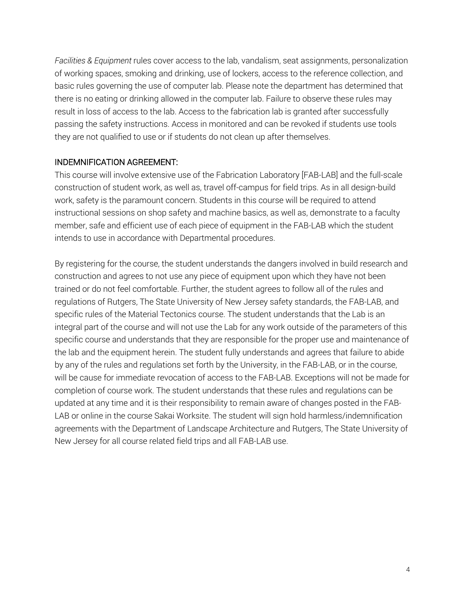*Facilities & Equipment* rules cover access to the lab, vandalism, seat assignments, personalization of working spaces, smoking and drinking, use of lockers, access to the reference collection, and basic rules governing the use of computer lab. Please note the department has determined that there is no eating or drinking allowed in the computer lab. Failure to observe these rules may result in loss of access to the lab. Access to the fabrication lab is granted after successfully passing the safety instructions. Access in monitored and can be revoked if students use tools they are not qualified to use or if students do not clean up after themselves.

#### INDEMNIFICATION AGREEMENT:

This course will involve extensive use of the Fabrication Laboratory [FAB-LAB] and the full-scale construction of student work, as well as, travel off-campus for field trips. As in all design-build work, safety is the paramount concern. Students in this course will be required to attend instructional sessions on shop safety and machine basics, as well as, demonstrate to a faculty member, safe and efficient use of each piece of equipment in the FAB-LAB which the student intends to use in accordance with Departmental procedures.

By registering for the course, the student understands the dangers involved in build research and construction and agrees to not use any piece of equipment upon which they have not been trained or do not feel comfortable. Further, the student agrees to follow all of the rules and regulations of Rutgers, The State University of New Jersey safety standards, the FAB-LAB, and specific rules of the Material Tectonics course. The student understands that the Lab is an integral part of the course and will not use the Lab for any work outside of the parameters of this specific course and understands that they are responsible for the proper use and maintenance of the lab and the equipment herein. The student fully understands and agrees that failure to abide by any of the rules and regulations set forth by the University, in the FAB-LAB, or in the course, will be cause for immediate revocation of access to the FAB-LAB. Exceptions will not be made for completion of course work. The student understands that these rules and regulations can be updated at any time and it is their responsibility to remain aware of changes posted in the FAB-LAB or online in the course Sakai Worksite. The student will sign hold harmless/indemnification agreements with the Department of Landscape Architecture and Rutgers, The State University of New Jersey for all course related field trips and all FAB-LAB use.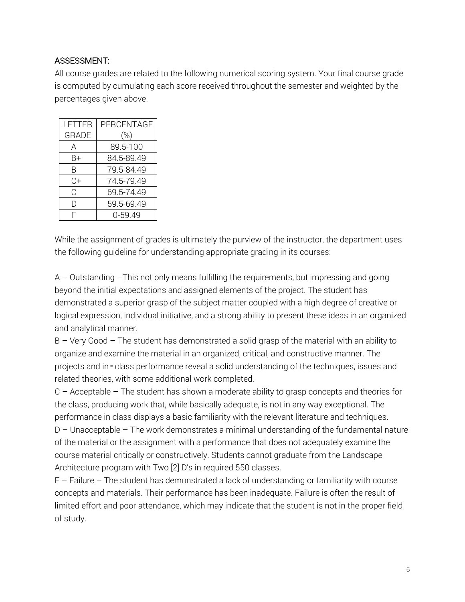## ASSESSMENT:

All course grades are related to the following numerical scoring system. Your final course grade is computed by cumulating each score received throughout the semester and weighted by the percentages given above.

| I FTTFR      | PERCENTAGE |
|--------------|------------|
| <b>GRADE</b> | $(\%)$     |
| А            | 89.5-100   |
| B+           | 84.5-89.49 |
| R            | 79.5-84.49 |
| $C+$         | 74.5-79.49 |
| C            | 69.5-74.49 |
| l)           | 59.5-69.49 |
| ⊏            | 0-59.49    |

While the assignment of grades is ultimately the purview of the instructor, the department uses the following guideline for understanding appropriate grading in its courses:

A – Outstanding –This not only means fulfilling the requirements, but impressing and going beyond the initial expectations and assigned elements of the project. The student has demonstrated a superior grasp of the subject matter coupled with a high degree of creative or logical expression, individual initiative, and a strong ability to present these ideas in an organized and analytical manner.

B – Very Good – The student has demonstrated a solid grasp of the material with an ability to organize and examine the material in an organized, critical, and constructive manner. The projects and in - class performance reveal a solid understanding of the techniques, issues and related theories, with some additional work completed.

C – Acceptable – The student has shown a moderate ability to grasp concepts and theories for the class, producing work that, while basically adequate, is not in any way exceptional. The performance in class displays a basic familiarity with the relevant literature and techniques. D – Unacceptable – The work demonstrates a minimal understanding of the fundamental nature of the material or the assignment with a performance that does not adequately examine the course material critically or constructively. Students cannot graduate from the Landscape Architecture program with Two [2] D's in required 550 classes.

 $F$  – Failure – The student has demonstrated a lack of understanding or familiarity with course concepts and materials. Their performance has been inadequate. Failure is often the result of limited effort and poor attendance, which may indicate that the student is not in the proper field of study.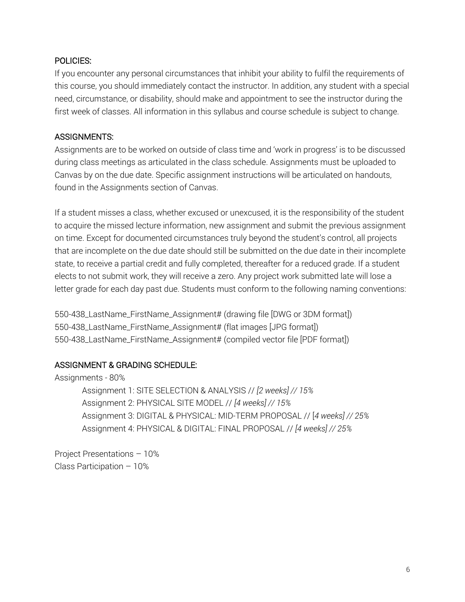#### POLICIES:

If you encounter any personal circumstances that inhibit your ability to fulfil the requirements of this course, you should immediately contact the instructor. In addition, any student with a special need, circumstance, or disability, should make and appointment to see the instructor during the first week of classes. All information in this syllabus and course schedule is subject to change.

## ASSIGNMENTS:

Assignments are to be worked on outside of class time and 'work in progress' is to be discussed during class meetings as articulated in the class schedule. Assignments must be uploaded to Canvas by on the due date. Specific assignment instructions will be articulated on handouts, found in the Assignments section of Canvas.

If a student misses a class, whether excused or unexcused, it is the responsibility of the student to acquire the missed lecture information, new assignment and submit the previous assignment on time. Except for documented circumstances truly beyond the student's control, all projects that are incomplete on the due date should still be submitted on the due date in their incomplete state, to receive a partial credit and fully completed, thereafter for a reduced grade. If a student elects to not submit work, they will receive a zero. Any project work submitted late will lose a letter grade for each day past due. Students must conform to the following naming conventions:

550-438\_LastName\_FirstName\_Assignment# (drawing file [DWG or 3DM format]) 550-438\_LastName\_FirstName\_Assignment# (flat images [JPG format]) 550-438\_LastName\_FirstName\_Assignment# (compiled vector file [PDF format])

# ASSIGNMENT & GRADING SCHEDULE:

Assignments - 80% Assignment 1: SITE SELECTION & ANALYSIS // *[2 weeks] // 15%* Assignment 2: PHYSICAL SITE MODEL // *[4 weeks] // 15%* Assignment 3: DIGITAL & PHYSICAL: MID-TERM PROPOSAL // [*4 weeks] // 25%* Assignment 4: PHYSICAL & DIGITAL: FINAL PROPOSAL // *[4 weeks] // 25%*

Project Presentations – 10% Class Participation – 10%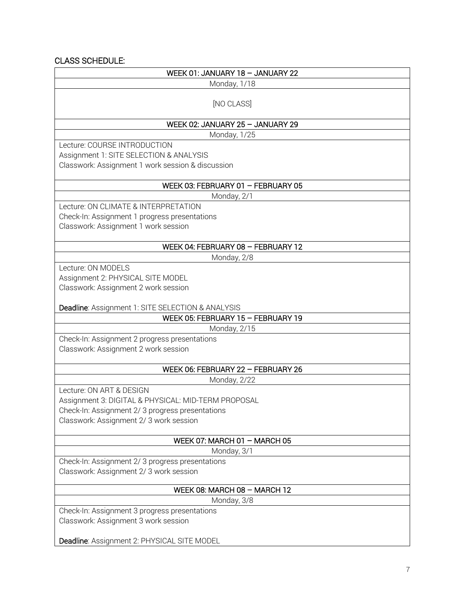## CLASS SCHEDULE:

| WEEK 01: JANUARY 18 - JANUARY 22                                                                                                                                             |  |
|------------------------------------------------------------------------------------------------------------------------------------------------------------------------------|--|
| Monday, 1/18                                                                                                                                                                 |  |
| [NO CLASS]                                                                                                                                                                   |  |
| WEEK 02: JANUARY 25 - JANUARY 29                                                                                                                                             |  |
| Monday, 1/25                                                                                                                                                                 |  |
| Lecture: COURSE INTRODUCTION<br>Assignment 1: SITE SELECTION & ANALYSIS<br>Classwork: Assignment 1 work session & discussion                                                 |  |
| WEEK 03: FEBRUARY 01 - FEBRUARY 05                                                                                                                                           |  |
| Monday, 2/1                                                                                                                                                                  |  |
| Lecture: ON CLIMATE & INTERPRETATION<br>Check-In: Assignment 1 progress presentations<br>Classwork: Assignment 1 work session                                                |  |
| WEEK 04: FEBRUARY 08 - FEBRUARY 12                                                                                                                                           |  |
| Monday, 2/8                                                                                                                                                                  |  |
| Lecture: ON MODELS<br>Assignment 2: PHYSICAL SITE MODEL<br>Classwork: Assignment 2 work session<br>Deadline: Assignment 1: SITE SELECTION & ANALYSIS                         |  |
| WEEK 05: FEBRUARY 15 - FEBRUARY 19                                                                                                                                           |  |
| Monday, 2/15                                                                                                                                                                 |  |
| Check-In: Assignment 2 progress presentations<br>Classwork: Assignment 2 work session                                                                                        |  |
| WEEK 06: FEBRUARY 22 - FEBRUARY 26                                                                                                                                           |  |
| Monday, 2/22                                                                                                                                                                 |  |
| Lecture: ON ART & DESIGN<br>Assignment 3: DIGITAL & PHYSICAL: MID-TERM PROPOSAL<br>Check-In: Assignment 2/3 progress presentations<br>Classwork: Assignment 2/3 work session |  |
| WEEK 07: MARCH 01 $-$ MARCH 05                                                                                                                                               |  |
| Monday, 3/1                                                                                                                                                                  |  |
| Check-In: Assignment 2/3 progress presentations<br>Classwork: Assignment 2/3 work session                                                                                    |  |
| WEEK 08: MARCH 08 $-$ MARCH 12                                                                                                                                               |  |
| Monday, 3/8                                                                                                                                                                  |  |
| Check-In: Assignment 3 progress presentations<br>Classwork: Assignment 3 work session                                                                                        |  |
| Deadline: Assignment 2: PHYSICAL SITE MODEL                                                                                                                                  |  |